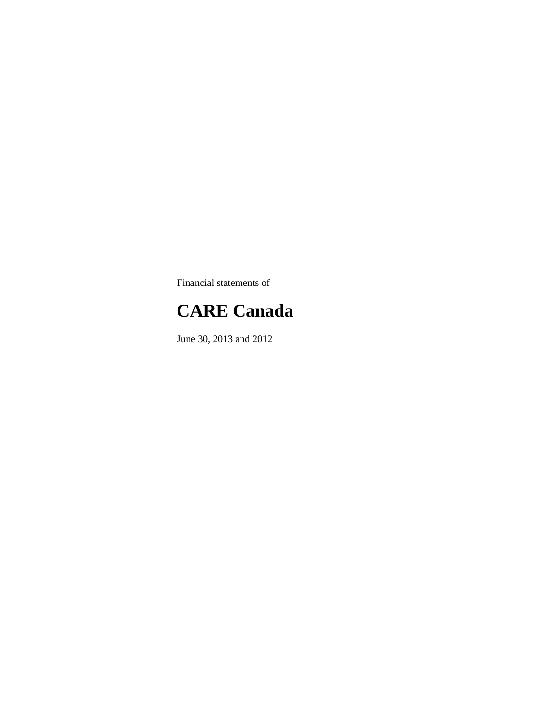Financial statements of

### **CARE Canada**

June 30, 2013 and 2012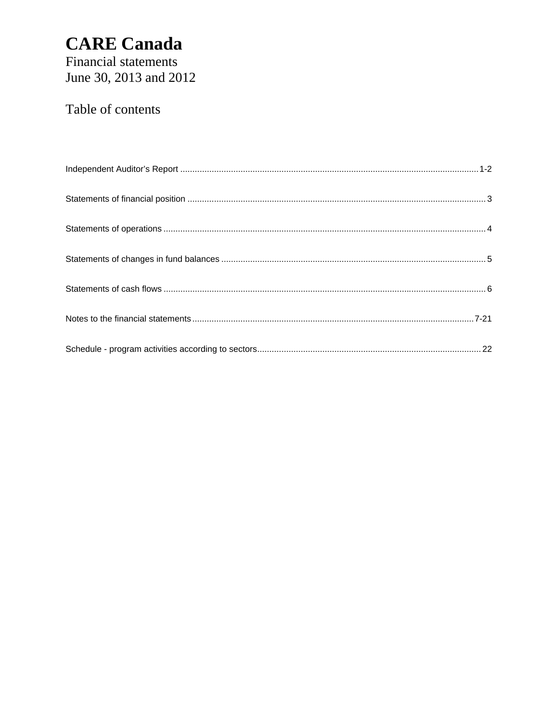**Financial statements** June 30, 2013 and 2012

### Table of contents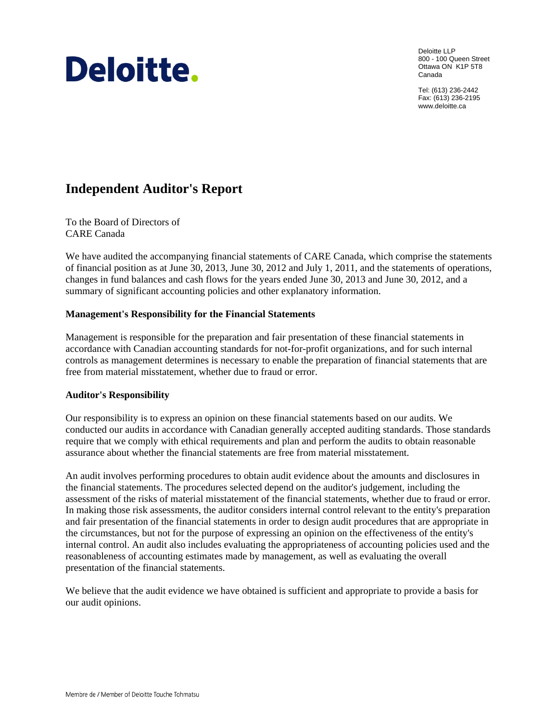# Deloitte.

Deloitte LLP 800 - 100 Queen Street Ottawa ON K1P 5T8 Canada

Tel: (613) 236-2442 Fax: (613) 236-2195 www.deloitte.ca

### **Independent Auditor's Report**

To the Board of Directors of CARE Canada

We have audited the accompanying financial statements of CARE Canada, which comprise the statements of financial position as at June 30, 2013, June 30, 2012 and July 1, 2011, and the statements of operations, changes in fund balances and cash flows for the years ended June 30, 2013 and June 30, 2012, and a summary of significant accounting policies and other explanatory information.

#### **Management's Responsibility for the Financial Statements**

Management is responsible for the preparation and fair presentation of these financial statements in accordance with Canadian accounting standards for not-for-profit organizations, and for such internal controls as management determines is necessary to enable the preparation of financial statements that are free from material misstatement, whether due to fraud or error.

#### **Auditor's Responsibility**

Our responsibility is to express an opinion on these financial statements based on our audits. We conducted our audits in accordance with Canadian generally accepted auditing standards. Those standards require that we comply with ethical requirements and plan and perform the audits to obtain reasonable assurance about whether the financial statements are free from material misstatement.

An audit involves performing procedures to obtain audit evidence about the amounts and disclosures in the financial statements. The procedures selected depend on the auditor's judgement, including the assessment of the risks of material misstatement of the financial statements, whether due to fraud or error. In making those risk assessments, the auditor considers internal control relevant to the entity's preparation and fair presentation of the financial statements in order to design audit procedures that are appropriate in the circumstances, but not for the purpose of expressing an opinion on the effectiveness of the entity's internal control. An audit also includes evaluating the appropriateness of accounting policies used and the reasonableness of accounting estimates made by management, as well as evaluating the overall presentation of the financial statements.

We believe that the audit evidence we have obtained is sufficient and appropriate to provide a basis for our audit opinions.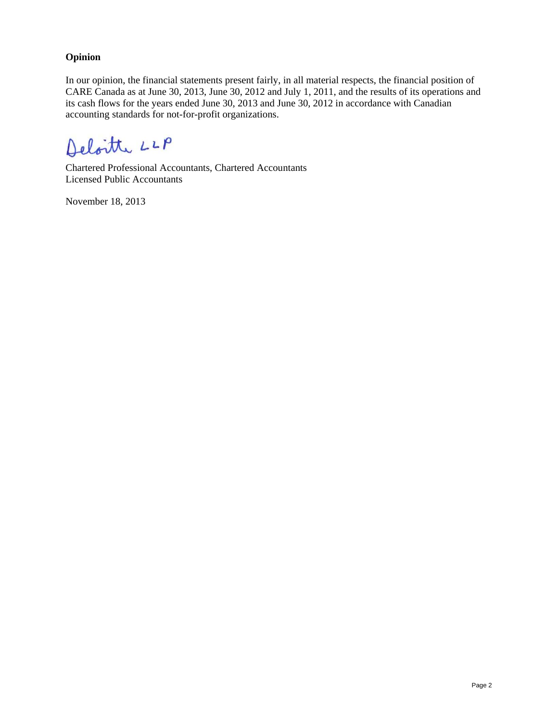#### **Opinion**

In our opinion, the financial statements present fairly, in all material respects, the financial position of CARE Canada as at June 30, 2013, June 30, 2012 and July 1, 2011, and the results of its operations and its cash flows for the years ended June 30, 2013 and June 30, 2012 in accordance with Canadian accounting standards for not-for-profit organizations.

Deloitte LLP

Chartered Professional Accountants, Chartered Accountants Licensed Public Accountants

November 18, 2013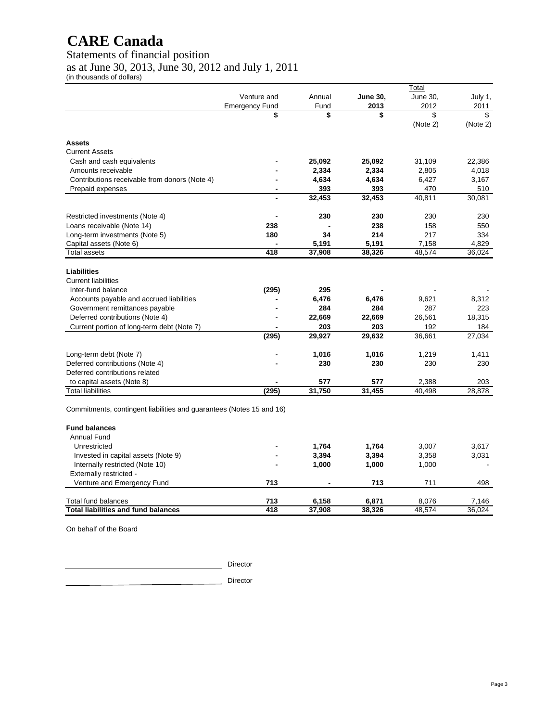#### Statements of financial position

as at June 30, 2013, June 30, 2012 and July 1, 2011

(in thousands of dollars)

|                                                                      |                       |        |                 | Total    |          |
|----------------------------------------------------------------------|-----------------------|--------|-----------------|----------|----------|
|                                                                      | Venture and           | Annual | <b>June 30,</b> | June 30, | July 1,  |
|                                                                      | <b>Emergency Fund</b> | Fund   | 2013            | 2012     | 2011     |
|                                                                      | \$                    | \$     | \$              | \$       | \$       |
|                                                                      |                       |        |                 | (Note 2) | (Note 2) |
| <b>Assets</b>                                                        |                       |        |                 |          |          |
| <b>Current Assets</b>                                                |                       |        |                 |          |          |
| Cash and cash equivalents                                            |                       | 25,092 | 25,092          | 31,109   | 22,386   |
| Amounts receivable                                                   |                       | 2,334  | 2,334           | 2,805    | 4,018    |
| Contributions receivable from donors (Note 4)                        |                       | 4,634  | 4,634           | 6,427    | 3,167    |
| Prepaid expenses                                                     |                       | 393    | 393             | 470      | 510      |
|                                                                      |                       | 32,453 | 32,453          | 40,811   | 30,081   |
| Restricted investments (Note 4)                                      |                       | 230    | 230             | 230      | 230      |
| Loans receivable (Note 14)                                           | 238                   |        | 238             | 158      | 550      |
| Long-term investments (Note 5)                                       | 180                   | 34     | 214             | 217      | 334      |
| Capital assets (Note 6)                                              |                       | 5,191  | 5,191           | 7,158    | 4,829    |
| <b>Total assets</b>                                                  | 418                   | 37,908 | 38,326          | 48,574   | 36,024   |
|                                                                      |                       |        |                 |          |          |
| <b>Liabilities</b>                                                   |                       |        |                 |          |          |
| <b>Current liabilities</b>                                           |                       |        |                 |          |          |
| Inter-fund balance                                                   | (295)                 | 295    |                 |          |          |
| Accounts payable and accrued liabilities                             |                       | 6,476  | 6,476           | 9,621    | 8,312    |
| Government remittances payable                                       |                       | 284    | 284             | 287      | 223      |
| Deferred contributions (Note 4)                                      |                       | 22,669 | 22,669          | 26,561   | 18,315   |
| Current portion of long-term debt (Note 7)                           |                       | 203    | 203             | 192      | 184      |
|                                                                      | (295)                 | 29,927 | 29,632          | 36,661   | 27,034   |
| Long-term debt (Note 7)                                              |                       | 1,016  | 1,016           | 1,219    | 1,411    |
| Deferred contributions (Note 4)                                      |                       | 230    | 230             | 230      | 230      |
| Deferred contributions related                                       |                       |        |                 |          |          |
| to capital assets (Note 8)                                           |                       | 577    | 577             | 2,388    | 203      |
| <b>Total liabilities</b>                                             | (295)                 | 31,750 | 31,455          | 40,498   | 28,878   |
| Commitments, contingent liabilities and guarantees (Notes 15 and 16) |                       |        |                 |          |          |
| <b>Fund balances</b>                                                 |                       |        |                 |          |          |
| <b>Annual Fund</b>                                                   |                       |        |                 |          |          |
| Unrestricted                                                         |                       | 1,764  | 1,764           | 3,007    | 3.617    |
| Invested in capital assets (Note 9)                                  |                       | 3,394  | 3,394           | 3,358    | 3,031    |
| Internally restricted (Note 10)                                      |                       | 1,000  | 1,000           | 1,000    |          |
| Externally restricted -                                              |                       |        |                 |          |          |
| Venture and Emergency Fund                                           | 713                   |        | 713             | 711      | 498      |
|                                                                      |                       |        |                 |          |          |
| <b>Total fund balances</b>                                           | 713                   | 6,158  | 6,871           | 8,076    | 7,146    |
| <b>Total liabilities and fund balances</b>                           | 418                   | 37,908 | 38,326          | 48,574   | 36.024   |

On behalf of the Board

Director

Director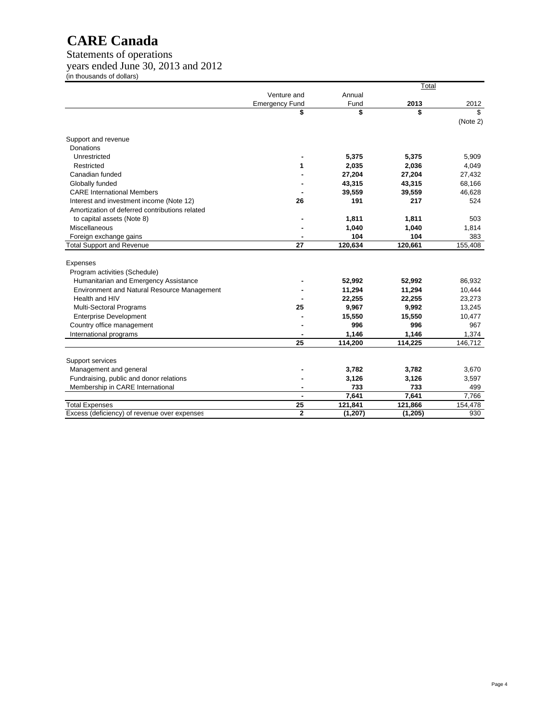#### Statements of operations

years ended June 30, 2013 and 2012

(in thousands of dollars)

|                                                |                         |          | Total    |          |
|------------------------------------------------|-------------------------|----------|----------|----------|
|                                                | Venture and             | Annual   |          |          |
|                                                | <b>Emergency Fund</b>   | Fund     | 2013     | 2012     |
|                                                | \$                      | \$       | \$       | \$       |
|                                                |                         |          |          | (Note 2) |
| Support and revenue                            |                         |          |          |          |
| Donations                                      |                         |          |          |          |
| Unrestricted                                   | ٠                       | 5,375    | 5.375    | 5.909    |
| Restricted                                     | 1                       | 2,035    | 2,036    | 4,049    |
| Canadian funded                                |                         | 27,204   | 27,204   | 27,432   |
| Globally funded                                |                         | 43,315   | 43,315   | 68,166   |
| <b>CARE International Members</b>              |                         | 39,559   | 39,559   | 46,628   |
| Interest and investment income (Note 12)       | 26                      | 191      | 217      | 524      |
| Amortization of deferred contributions related |                         |          |          |          |
| to capital assets (Note 8)                     |                         | 1,811    | 1,811    | 503      |
| Miscellaneous                                  |                         | 1,040    | 1,040    | 1,814    |
| Foreign exchange gains                         |                         | 104      | 104      | 383      |
| <b>Total Support and Revenue</b>               | 27                      | 120,634  | 120,661  | 155,408  |
| Expenses                                       |                         |          |          |          |
| Program activities (Schedule)                  |                         |          |          |          |
| Humanitarian and Emergency Assistance          |                         | 52,992   | 52,992   | 86,932   |
| Environment and Natural Resource Management    |                         | 11,294   | 11,294   | 10,444   |
| Health and HIV                                 |                         | 22,255   | 22,255   | 23,273   |
| Multi-Sectoral Programs                        | 25                      | 9,967    | 9,992    | 13,245   |
| <b>Enterprise Development</b>                  |                         | 15,550   | 15,550   | 10,477   |
| Country office management                      |                         | 996      | 996      | 967      |
| International programs                         |                         | 1,146    | 1,146    | 1,374    |
|                                                | 25                      | 114,200  | 114,225  | 146,712  |
| Support services                               |                         |          |          |          |
| Management and general                         |                         | 3,782    | 3,782    | 3,670    |
| Fundraising, public and donor relations        |                         | 3,126    | 3,126    | 3,597    |
| Membership in CARE International               |                         | 733      | 733      | 499      |
|                                                |                         | 7,641    | 7,641    | 7,766    |
| <b>Total Expenses</b>                          | 25                      | 121,841  | 121,866  | 154,478  |
| Excess (deficiency) of revenue over expenses   | $\overline{\mathbf{2}}$ | (1, 207) | (1, 205) | 930      |
|                                                |                         |          |          |          |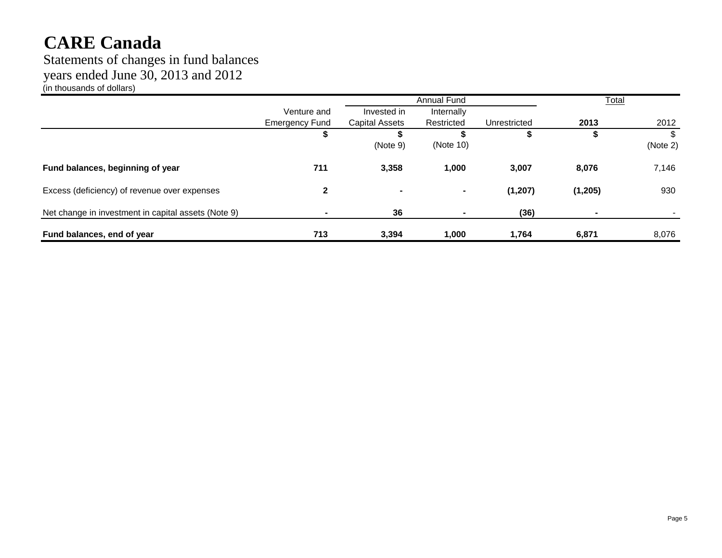Statements of changes in fund balances years ended June 30, 2013 and 2012 (in thousands of dollars)

|                                                     |                       | Annual Fund           |            | Total        |          |          |
|-----------------------------------------------------|-----------------------|-----------------------|------------|--------------|----------|----------|
|                                                     | Venture and           | Invested in           | Internally |              |          |          |
|                                                     | <b>Emergency Fund</b> | <b>Capital Assets</b> | Restricted | Unrestricted | 2013     | 2012     |
|                                                     |                       |                       |            |              |          | \$       |
|                                                     |                       | (Note 9)              | (Note 10)  |              |          | (Note 2) |
| Fund balances, beginning of year                    | 711                   | 3,358                 | 1,000      | 3,007        | 8,076    | 7,146    |
| Excess (deficiency) of revenue over expenses        | 2                     | $\blacksquare$        | ۰          | (1, 207)     | (1, 205) | 930      |
| Net change in investment in capital assets (Note 9) |                       | 36                    |            | (36)         |          |          |
| Fund balances, end of year                          | 713                   | 3,394                 | 1,000      | 1,764        | 6,871    | 8,076    |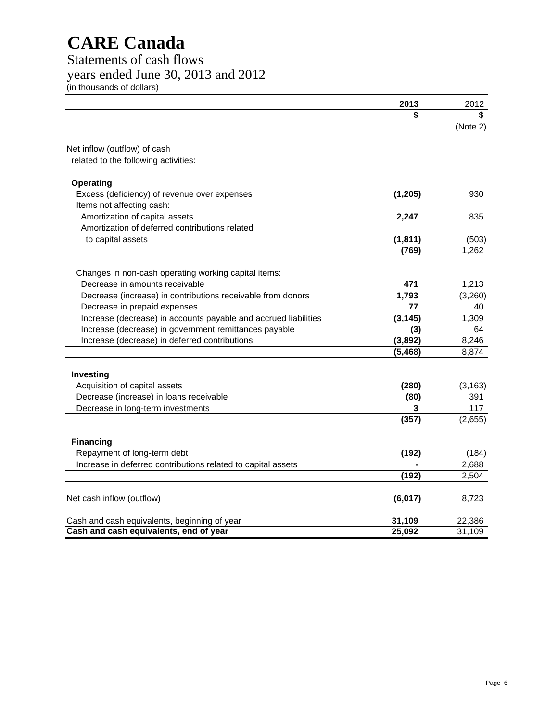Statements of cash flows years ended June 30, 2013 and 2012 (in thousands of dollars)

|                                                                                        | 2013     | 2012     |
|----------------------------------------------------------------------------------------|----------|----------|
|                                                                                        |          | \$.      |
|                                                                                        |          | (Note 2) |
| Net inflow (outflow) of cash                                                           |          |          |
| related to the following activities:                                                   |          |          |
| <b>Operating</b>                                                                       |          |          |
| Excess (deficiency) of revenue over expenses                                           | (1, 205) | 930      |
| Items not affecting cash:                                                              |          |          |
| Amortization of capital assets                                                         | 2,247    | 835      |
| Amortization of deferred contributions related                                         |          |          |
| to capital assets                                                                      | (1, 811) | (503)    |
|                                                                                        | (769)    | 1,262    |
|                                                                                        |          |          |
| Changes in non-cash operating working capital items:<br>Decrease in amounts receivable | 471      |          |
|                                                                                        |          | 1,213    |
| Decrease (increase) in contributions receivable from donors                            | 1,793    | (3,260)  |
| Decrease in prepaid expenses                                                           | 77       | 40       |
| Increase (decrease) in accounts payable and accrued liabilities                        | (3, 145) | 1,309    |
| Increase (decrease) in government remittances payable                                  | (3)      | 64       |
| Increase (decrease) in deferred contributions                                          | (3,892)  | 8,246    |
|                                                                                        | (5, 468) | 8,874    |
| Investing                                                                              |          |          |
| Acquisition of capital assets                                                          | (280)    | (3, 163) |
| Decrease (increase) in loans receivable                                                | (80)     | 391      |
| Decrease in long-term investments                                                      | 3        | 117      |
|                                                                                        | (357)    | (2,655)  |
|                                                                                        |          |          |
| <b>Financing</b>                                                                       |          |          |
| Repayment of long-term debt                                                            | (192)    | (184)    |
| Increase in deferred contributions related to capital assets                           |          | 2,688    |
|                                                                                        | (192)    | 2,504    |
| Net cash inflow (outflow)                                                              | (6,017)  | 8,723    |
|                                                                                        |          |          |
| Cash and cash equivalents, beginning of year                                           | 31,109   | 22,386   |
| Cash and cash equivalents, end of year                                                 | 25,092   | 31,109   |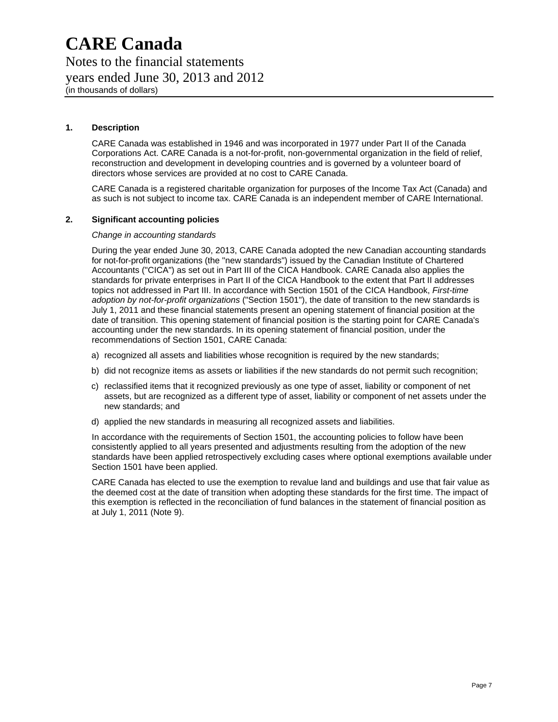Notes to the financial statements years ended June 30, 2013 and 2012 (in thousands of dollars)

#### **1. Description**

CARE Canada was established in 1946 and was incorporated in 1977 under Part II of the Canada Corporations Act. CARE Canada is a not-for-profit, non-governmental organization in the field of relief, reconstruction and development in developing countries and is governed by a volunteer board of directors whose services are provided at no cost to CARE Canada.

CARE Canada is a registered charitable organization for purposes of the Income Tax Act (Canada) and as such is not subject to income tax. CARE Canada is an independent member of CARE International.

#### **2. Significant accounting policies**

#### *Change in accounting standards*

During the year ended June 30, 2013, CARE Canada adopted the new Canadian accounting standards for not-for-profit organizations (the "new standards") issued by the Canadian Institute of Chartered Accountants ("CICA") as set out in Part III of the CICA Handbook. CARE Canada also applies the standards for private enterprises in Part II of the CICA Handbook to the extent that Part II addresses topics not addressed in Part III. In accordance with Section 1501 of the CICA Handbook, *First-time adoption by not-for-profit organizations* ("Section 1501"), the date of transition to the new standards is July 1, 2011 and these financial statements present an opening statement of financial position at the date of transition. This opening statement of financial position is the starting point for CARE Canada's accounting under the new standards. In its opening statement of financial position, under the recommendations of Section 1501, CARE Canada:

- a) recognized all assets and liabilities whose recognition is required by the new standards;
- b) did not recognize items as assets or liabilities if the new standards do not permit such recognition;
- c) reclassified items that it recognized previously as one type of asset, liability or component of net assets, but are recognized as a different type of asset, liability or component of net assets under the new standards; and
- d) applied the new standards in measuring all recognized assets and liabilities.

In accordance with the requirements of Section 1501, the accounting policies to follow have been consistently applied to all years presented and adjustments resulting from the adoption of the new standards have been applied retrospectively excluding cases where optional exemptions available under Section 1501 have been applied.

CARE Canada has elected to use the exemption to revalue land and buildings and use that fair value as the deemed cost at the date of transition when adopting these standards for the first time. The impact of this exemption is reflected in the reconciliation of fund balances in the statement of financial position as at July 1, 2011 (Note 9).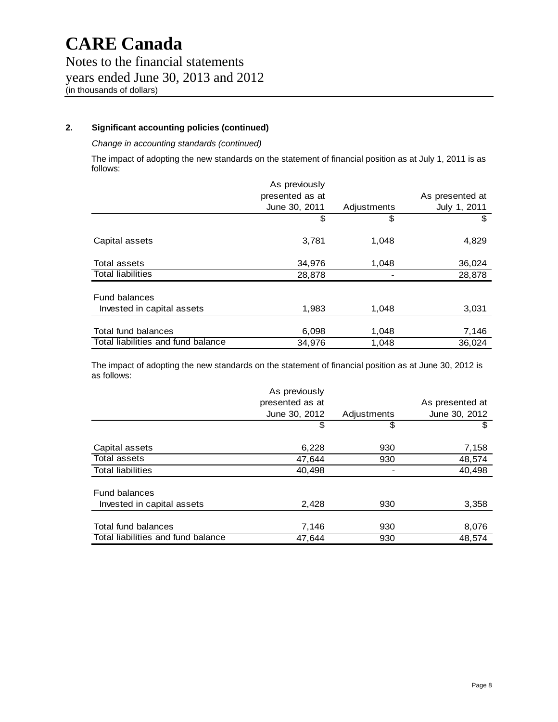#### **2. Significant accounting policies (continued)**

*Change in accounting standards (continued)* 

The impact of adopting the new standards on the statement of financial position as at July 1, 2011 is as follows:

|                                                    | As previously   |             |                 |
|----------------------------------------------------|-----------------|-------------|-----------------|
|                                                    | presented as at |             | As presented at |
|                                                    | June 30, 2011   | Adjustments | July 1, 2011    |
|                                                    | \$              | \$          | \$              |
| Capital assets                                     | 3.781           | 1.048       | 4,829           |
| Total assets                                       | 34,976          | 1,048       | 36,024          |
| <b>Total liabilities</b>                           | 28,878          |             | 28,878          |
| <b>Fund balances</b><br>Invested in capital assets | 1,983           | 1,048       | 3,031           |
|                                                    |                 |             |                 |
| Total fund balances                                | 6,098           | 1,048       | 7,146           |
| Total liabilities and fund balance                 | 34.976          | 1,048       | 36.024          |

The impact of adopting the new standards on the statement of financial position as at June 30, 2012 is as follows:

|                                    | As previously   |             |                 |
|------------------------------------|-----------------|-------------|-----------------|
|                                    | presented as at |             | As presented at |
|                                    | June 30, 2012   | Adjustments | June 30, 2012   |
|                                    | \$              | \$          | S               |
|                                    |                 |             |                 |
| Capital assets                     | 6,228           | 930         | 7,158           |
| <b>Total assets</b>                | 47,644          | 930         | 48,574          |
| <b>Total liabilities</b>           | 40,498          |             | 40,498          |
|                                    |                 |             |                 |
| <b>Fund balances</b>               |                 |             |                 |
| Invested in capital assets         | 2,428           | 930         | 3,358           |
|                                    |                 |             |                 |
| Total fund balances                | 7,146           | 930         | 8,076           |
| Total liabilities and fund balance | 47,644          | 930         | 48.574          |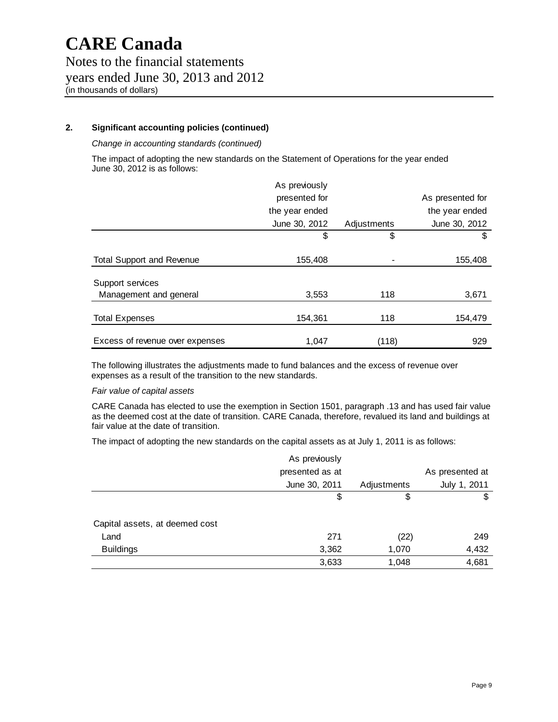#### **2. Significant accounting policies (continued)**

*Change in accounting standards (continued)* 

The impact of adopting the new standards on the Statement of Operations for the year ended June 30, 2012 is as follows:

|                                  | As previously  |             |                  |
|----------------------------------|----------------|-------------|------------------|
|                                  | presented for  |             | As presented for |
|                                  | the year ended |             | the year ended   |
|                                  | June 30, 2012  | Adjustments | June 30, 2012    |
|                                  | \$             | \$          | S                |
|                                  |                |             |                  |
| <b>Total Support and Revenue</b> | 155,408        |             | 155,408          |
| Support services                 |                |             |                  |
| Management and general           | 3,553          | 118         | 3,671            |
|                                  |                |             |                  |
| <b>Total Expenses</b>            | 154,361        | 118         | 154,479          |
| Excess of revenue over expenses  | 1.047          | (118)       | 929              |

The following illustrates the adjustments made to fund balances and the excess of revenue over expenses as a result of the transition to the new standards.

#### *Fair value of capital assets*

CARE Canada has elected to use the exemption in Section 1501, paragraph .13 and has used fair value as the deemed cost at the date of transition. CARE Canada, therefore, revalued its land and buildings at fair value at the date of transition.

The impact of adopting the new standards on the capital assets as at July 1, 2011 is as follows:

|                                | As previously   |             |                 |
|--------------------------------|-----------------|-------------|-----------------|
|                                | presented as at |             | As presented at |
|                                | June 30, 2011   | Adjustments | July 1, 2011    |
|                                | \$              | S           | \$              |
| Capital assets, at deemed cost |                 |             |                 |
| Land                           | 271             | (22)        | 249             |
| <b>Buildings</b>               | 3,362           | 1,070       | 4,432           |
|                                | 3,633           | 1,048       | 4,681           |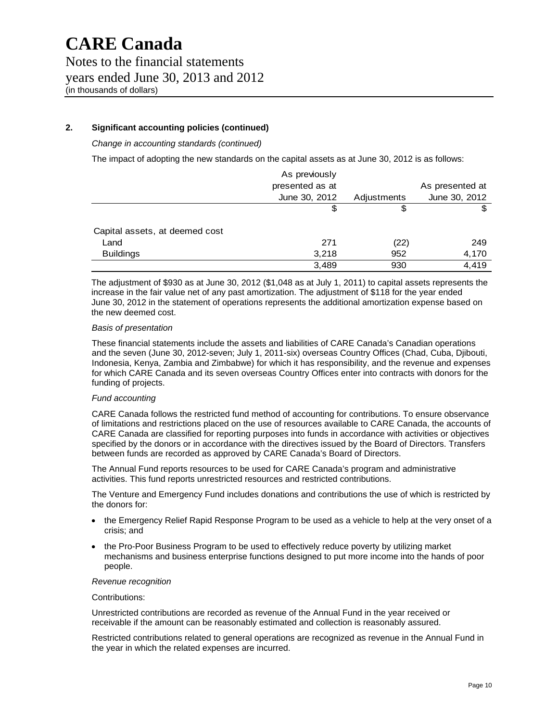#### **2. Significant accounting policies (continued)**

#### *Change in accounting standards (continued)*

The impact of adopting the new standards on the capital assets as at June 30, 2012 is as follows:

|                                | As previously   |             |                 |
|--------------------------------|-----------------|-------------|-----------------|
|                                | presented as at |             | As presented at |
|                                | June 30, 2012   | Adjustments | June 30, 2012   |
|                                | \$              | \$          |                 |
| Capital assets, at deemed cost |                 |             |                 |
| Land                           | 271             | (22)        | 249             |
| <b>Buildings</b>               | 3,218           | 952         | 4,170           |
|                                | 3,489           | 930         | 4.419           |

The adjustment of \$930 as at June 30, 2012 (\$1,048 as at July 1, 2011) to capital assets represents the increase in the fair value net of any past amortization. The adjustment of \$118 for the year ended June 30, 2012 in the statement of operations represents the additional amortization expense based on the new deemed cost.

#### *Basis of presentation*

These financial statements include the assets and liabilities of CARE Canada's Canadian operations and the seven (June 30, 2012-seven; July 1, 2011-six) overseas Country Offices (Chad, Cuba, Djibouti, Indonesia, Kenya, Zambia and Zimbabwe) for which it has responsibility, and the revenue and expenses for which CARE Canada and its seven overseas Country Offices enter into contracts with donors for the funding of projects.

#### *Fund accounting*

CARE Canada follows the restricted fund method of accounting for contributions. To ensure observance of limitations and restrictions placed on the use of resources available to CARE Canada, the accounts of CARE Canada are classified for reporting purposes into funds in accordance with activities or objectives specified by the donors or in accordance with the directives issued by the Board of Directors. Transfers between funds are recorded as approved by CARE Canada's Board of Directors.

The Annual Fund reports resources to be used for CARE Canada's program and administrative activities. This fund reports unrestricted resources and restricted contributions.

The Venture and Emergency Fund includes donations and contributions the use of which is restricted by the donors for:

- the Emergency Relief Rapid Response Program to be used as a vehicle to help at the very onset of a crisis; and
- the Pro-Poor Business Program to be used to effectively reduce poverty by utilizing market mechanisms and business enterprise functions designed to put more income into the hands of poor people.

#### *Revenue recognition*

#### Contributions:

Unrestricted contributions are recorded as revenue of the Annual Fund in the year received or receivable if the amount can be reasonably estimated and collection is reasonably assured.

Restricted contributions related to general operations are recognized as revenue in the Annual Fund in the year in which the related expenses are incurred.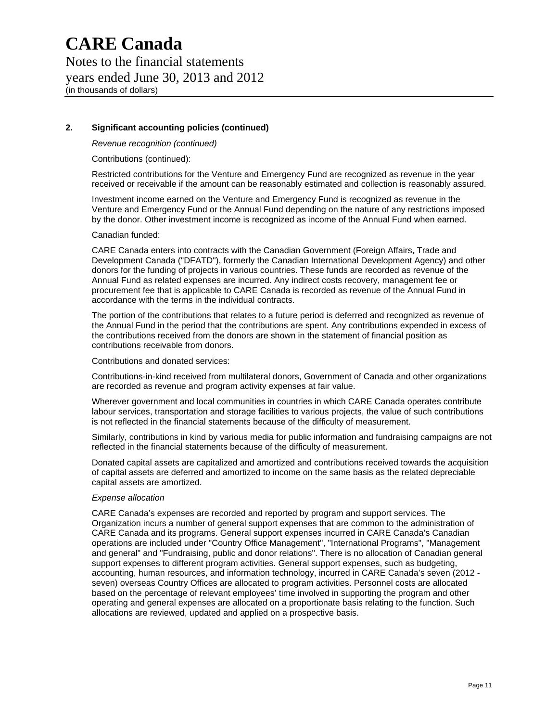Notes to the financial statements years ended June 30, 2013 and 2012 (in thousands of dollars)

#### **2. Significant accounting policies (continued)**

#### *Revenue recognition (continued)*

Contributions (continued):

Restricted contributions for the Venture and Emergency Fund are recognized as revenue in the year received or receivable if the amount can be reasonably estimated and collection is reasonably assured.

Investment income earned on the Venture and Emergency Fund is recognized as revenue in the Venture and Emergency Fund or the Annual Fund depending on the nature of any restrictions imposed by the donor. Other investment income is recognized as income of the Annual Fund when earned.

#### Canadian funded:

CARE Canada enters into contracts with the Canadian Government (Foreign Affairs, Trade and Development Canada ("DFATD"), formerly the Canadian International Development Agency) and other donors for the funding of projects in various countries. These funds are recorded as revenue of the Annual Fund as related expenses are incurred. Any indirect costs recovery, management fee or procurement fee that is applicable to CARE Canada is recorded as revenue of the Annual Fund in accordance with the terms in the individual contracts.

The portion of the contributions that relates to a future period is deferred and recognized as revenue of the Annual Fund in the period that the contributions are spent. Any contributions expended in excess of the contributions received from the donors are shown in the statement of financial position as contributions receivable from donors.

Contributions and donated services:

Contributions-in-kind received from multilateral donors, Government of Canada and other organizations are recorded as revenue and program activity expenses at fair value.

Wherever government and local communities in countries in which CARE Canada operates contribute labour services, transportation and storage facilities to various projects, the value of such contributions is not reflected in the financial statements because of the difficulty of measurement.

Similarly, contributions in kind by various media for public information and fundraising campaigns are not reflected in the financial statements because of the difficulty of measurement.

Donated capital assets are capitalized and amortized and contributions received towards the acquisition of capital assets are deferred and amortized to income on the same basis as the related depreciable capital assets are amortized.

#### *Expense allocation*

CARE Canada's expenses are recorded and reported by program and support services. The Organization incurs a number of general support expenses that are common to the administration of CARE Canada and its programs. General support expenses incurred in CARE Canada's Canadian operations are included under "Country Office Management", "International Programs", "Management and general" and "Fundraising, public and donor relations". There is no allocation of Canadian general support expenses to different program activities. General support expenses, such as budgeting, accounting, human resources, and information technology, incurred in CARE Canada's seven (2012 seven) overseas Country Offices are allocated to program activities. Personnel costs are allocated based on the percentage of relevant employees' time involved in supporting the program and other operating and general expenses are allocated on a proportionate basis relating to the function. Such allocations are reviewed, updated and applied on a prospective basis.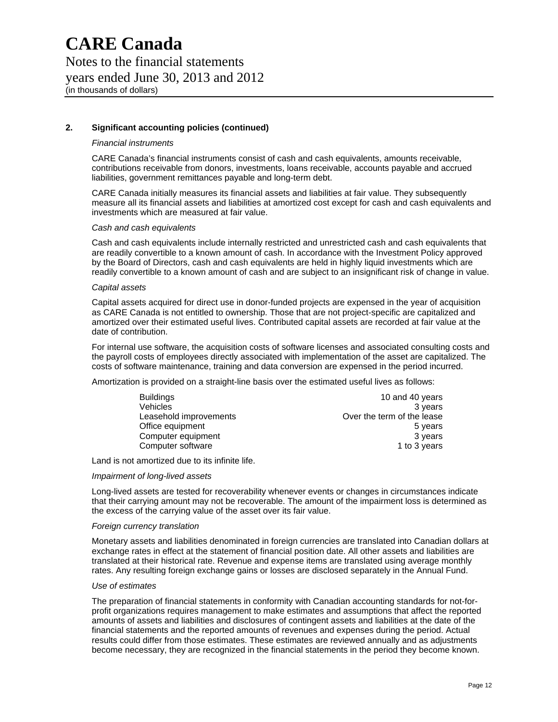Notes to the financial statements years ended June 30, 2013 and 2012 (in thousands of dollars)

#### **2. Significant accounting policies (continued)**

#### *Financial instruments*

CARE Canada's financial instruments consist of cash and cash equivalents, amounts receivable, contributions receivable from donors, investments, loans receivable, accounts payable and accrued liabilities, government remittances payable and long-term debt.

CARE Canada initially measures its financial assets and liabilities at fair value. They subsequently measure all its financial assets and liabilities at amortized cost except for cash and cash equivalents and investments which are measured at fair value.

#### *Cash and cash equivalents*

Cash and cash equivalents include internally restricted and unrestricted cash and cash equivalents that are readily convertible to a known amount of cash. In accordance with the Investment Policy approved by the Board of Directors, cash and cash equivalents are held in highly liquid investments which are readily convertible to a known amount of cash and are subject to an insignificant risk of change in value.

#### *Capital assets*

Capital assets acquired for direct use in donor-funded projects are expensed in the year of acquisition as CARE Canada is not entitled to ownership. Those that are not project-specific are capitalized and amortized over their estimated useful lives. Contributed capital assets are recorded at fair value at the date of contribution.

For internal use software, the acquisition costs of software licenses and associated consulting costs and the payroll costs of employees directly associated with implementation of the asset are capitalized. The costs of software maintenance, training and data conversion are expensed in the period incurred.

Amortization is provided on a straight-line basis over the estimated useful lives as follows:

| <b>Buildings</b>       | 10 and 40 years            |
|------------------------|----------------------------|
| Vehicles               | 3 years                    |
| Leasehold improvements | Over the term of the lease |
| Office equipment       | 5 years                    |
| Computer equipment     | 3 years                    |
| Computer software      | 1 to 3 years               |

Land is not amortized due to its infinite life.

#### *Impairment of long-lived assets*

Long-lived assets are tested for recoverability whenever events or changes in circumstances indicate that their carrying amount may not be recoverable. The amount of the impairment loss is determined as the excess of the carrying value of the asset over its fair value.

#### *Foreign currency translation*

Monetary assets and liabilities denominated in foreign currencies are translated into Canadian dollars at exchange rates in effect at the statement of financial position date. All other assets and liabilities are translated at their historical rate. Revenue and expense items are translated using average monthly rates. Any resulting foreign exchange gains or losses are disclosed separately in the Annual Fund.

#### *Use of estimates*

The preparation of financial statements in conformity with Canadian accounting standards for not-forprofit organizations requires management to make estimates and assumptions that affect the reported amounts of assets and liabilities and disclosures of contingent assets and liabilities at the date of the financial statements and the reported amounts of revenues and expenses during the period. Actual results could differ from those estimates. These estimates are reviewed annually and as adjustments become necessary, they are recognized in the financial statements in the period they become known.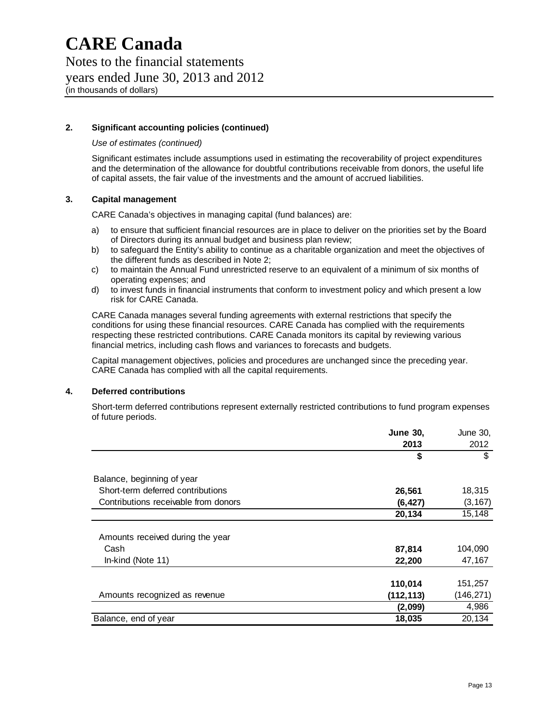Notes to the financial statements years ended June 30, 2013 and 2012 (in thousands of dollars)

#### **2. Significant accounting policies (continued)**

#### *Use of estimates (continued)*

Significant estimates include assumptions used in estimating the recoverability of project expenditures and the determination of the allowance for doubtful contributions receivable from donors, the useful life of capital assets, the fair value of the investments and the amount of accrued liabilities.

#### **3. Capital management**

CARE Canada's objectives in managing capital (fund balances) are:

- a) to ensure that sufficient financial resources are in place to deliver on the priorities set by the Board of Directors during its annual budget and business plan review;
- b) to safeguard the Entity's ability to continue as a charitable organization and meet the objectives of the different funds as described in Note 2;
- c) to maintain the Annual Fund unrestricted reserve to an equivalent of a minimum of six months of operating expenses; and
- d) to invest funds in financial instruments that conform to investment policy and which present a low risk for CARE Canada.

CARE Canada manages several funding agreements with external restrictions that specify the conditions for using these financial resources. CARE Canada has complied with the requirements respecting these restricted contributions. CARE Canada monitors its capital by reviewing various financial metrics, including cash flows and variances to forecasts and budgets.

Capital management objectives, policies and procedures are unchanged since the preceding year. CARE Canada has complied with all the capital requirements.

#### **4. Deferred contributions**

Short-term deferred contributions represent externally restricted contributions to fund program expenses of future periods.

|                                      | <b>June 30,</b> | June 30,  |
|--------------------------------------|-----------------|-----------|
|                                      | 2013            | 2012      |
|                                      | S               | \$        |
| Balance, beginning of year           |                 |           |
| Short-term deferred contributions    | 26,561          | 18,315    |
| Contributions receivable from donors | (6, 427)        | (3, 167)  |
|                                      | 20,134          | 15,148    |
| Amounts received during the year     |                 |           |
| Cash                                 | 87,814          | 104,090   |
| In-kind (Note 11)                    | 22,200          | 47,167    |
|                                      | 110,014         | 151,257   |
| Amounts recognized as revenue        | (112, 113)      | (146,271) |
|                                      | (2,099)         | 4,986     |
| Balance, end of year                 | 18,035          | 20,134    |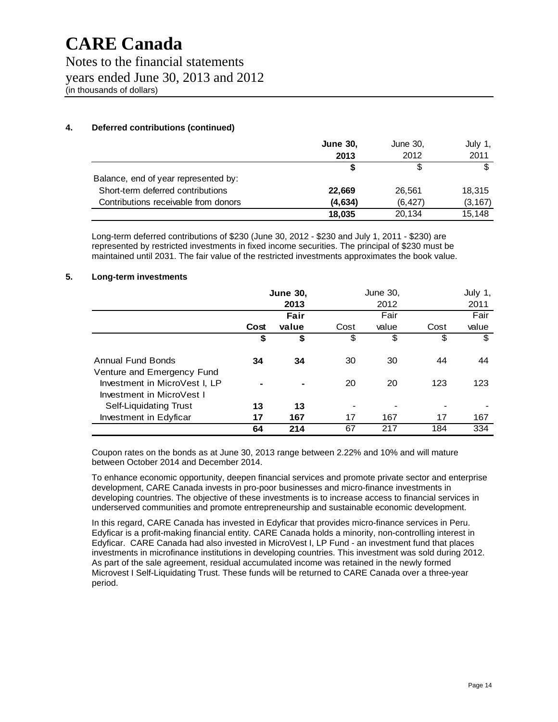Notes to the financial statements years ended June 30, 2013 and 2012 (in thousands of dollars)

#### **4. Deferred contributions (continued)**

|                                      | <b>June 30.</b> | June 30, | July 1,  |
|--------------------------------------|-----------------|----------|----------|
|                                      | 2013            | 2012     | 2011     |
|                                      |                 |          |          |
| Balance, end of year represented by: |                 |          |          |
| Short-term deferred contributions    | 22.669          | 26,561   | 18,315   |
| Contributions receivable from donors | (4,634)         | (6, 427) | (3, 167) |
|                                      | 18,035          | 20.134   | 15.148   |

Long-term deferred contributions of \$230 (June 30, 2012 - \$230 and July 1, 2011 - \$230) are represented by restricted investments in fixed income securities. The principal of \$230 must be maintained until 2031. The fair value of the restricted investments approximates the book value.

#### **5. Long-term investments**

|                                                            |      | <b>June 30,</b> |      | June 30, |      | July 1, |
|------------------------------------------------------------|------|-----------------|------|----------|------|---------|
|                                                            |      | 2013            |      | 2012     |      | 2011    |
|                                                            |      | Fair            |      | Fair     |      | Fair    |
|                                                            | Cost | value           | Cost | value    | Cost | value   |
|                                                            | \$   | \$              | \$   | \$       | \$   | \$      |
| Annual Fund Bonds<br>Venture and Emergency Fund            | 34   | 34              | 30   | 30       | 44   | 44      |
| Investment in MicroVest I, LP<br>Investment in MicroVest I |      | -               | 20   | 20       | 123  | 123     |
| Self-Liquidating Trust                                     | 13   | 13              |      |          |      |         |
| Investment in Edyficar                                     | 17   | 167             | 17   | 167      | 17   | 167     |
|                                                            | 64   | 214             | 67   | 217      | 184  | 334     |

Coupon rates on the bonds as at June 30, 2013 range between 2.22% and 10% and will mature between October 2014 and December 2014.

To enhance economic opportunity, deepen financial services and promote private sector and enterprise development, CARE Canada invests in pro-poor businesses and micro-finance investments in developing countries. The objective of these investments is to increase access to financial services in underserved communities and promote entrepreneurship and sustainable economic development.

In this regard, CARE Canada has invested in Edyficar that provides micro-finance services in Peru. Edyficar is a profit-making financial entity. CARE Canada holds a minority, non-controlling interest in Edyficar. CARE Canada had also invested in MicroVest I, LP Fund - an investment fund that places investments in microfinance institutions in developing countries. This investment was sold during 2012. As part of the sale agreement, residual accumulated income was retained in the newly formed Microvest I Self-Liquidating Trust. These funds will be returned to CARE Canada over a three-year period.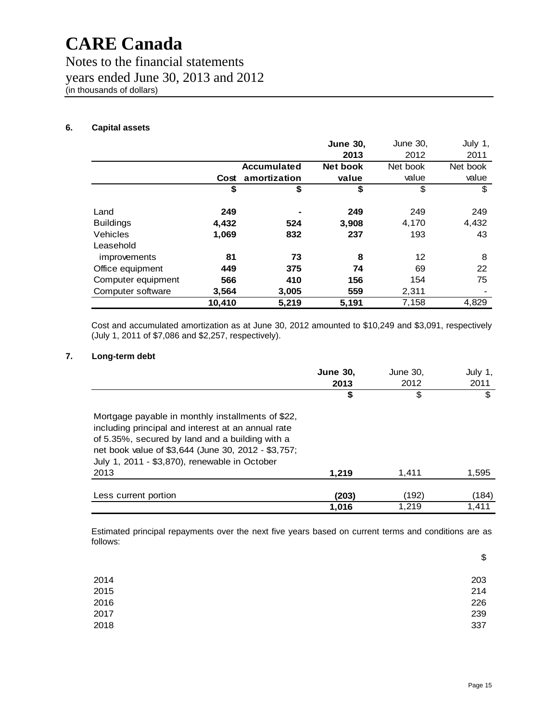Notes to the financial statements years ended June 30, 2013 and 2012 (in thousands of dollars)

#### **6. Capital assets**

|                     |        |                    | <b>June 30,</b> | June 30, | July 1,  |
|---------------------|--------|--------------------|-----------------|----------|----------|
|                     |        |                    | 2013            | 2012     | 2011     |
|                     |        | <b>Accumulated</b> | Net book        | Net book | Net book |
|                     | Cost   | amortization       | value           | value    | value    |
|                     | \$     | \$                 | \$              | \$       | \$       |
|                     |        |                    |                 |          |          |
| Land                | 249    |                    | 249             | 249      | 249      |
| <b>Buildings</b>    | 4,432  | 524                | 3,908           | 4,170    | 4,432    |
| <b>Vehicles</b>     | 1,069  | 832                | 237             | 193      | 43       |
| Leasehold           |        |                    |                 |          |          |
| <i>improvements</i> | 81     | 73                 | 8               | 12       | 8        |
| Office equipment    | 449    | 375                | 74              | 69       | 22       |
| Computer equipment  | 566    | 410                | 156             | 154      | 75       |
| Computer software   | 3,564  | 3,005              | 559             | 2,311    |          |
|                     | 10,410 | 5,219              | 5,191           | 7,158    | 4.829    |

Cost and accumulated amortization as at June 30, 2012 amounted to \$10,249 and \$3,091, respectively (July 1, 2011 of \$7,086 and \$2,257, respectively).

#### **7. Long-term debt**

|                                                                                                                                                                                                                                                                            | <b>June 30.</b><br>2013 | June 30,<br>2012 | July 1,<br>2011 |
|----------------------------------------------------------------------------------------------------------------------------------------------------------------------------------------------------------------------------------------------------------------------------|-------------------------|------------------|-----------------|
|                                                                                                                                                                                                                                                                            | \$                      | \$               |                 |
| Mortgage payable in monthly installments of \$22,<br>including principal and interest at an annual rate<br>of 5.35%, secured by land and a building with a<br>net book value of \$3,644 (June 30, 2012 - \$3,757;<br>July 1, 2011 - \$3,870), renewable in October<br>2013 | 1.219                   | 1.411            | 1,595           |
| Less current portion                                                                                                                                                                                                                                                       | (203)                   | (192)            | (184)           |
|                                                                                                                                                                                                                                                                            | 1.016                   | 1.219            | 1.411           |

Estimated principal repayments over the next five years based on current terms and conditions are as follows:

| 2014 | 203 |
|------|-----|
| 2015 | 214 |
| 2016 | 226 |
| 2017 | 239 |
| 2018 | 337 |
|      |     |

\$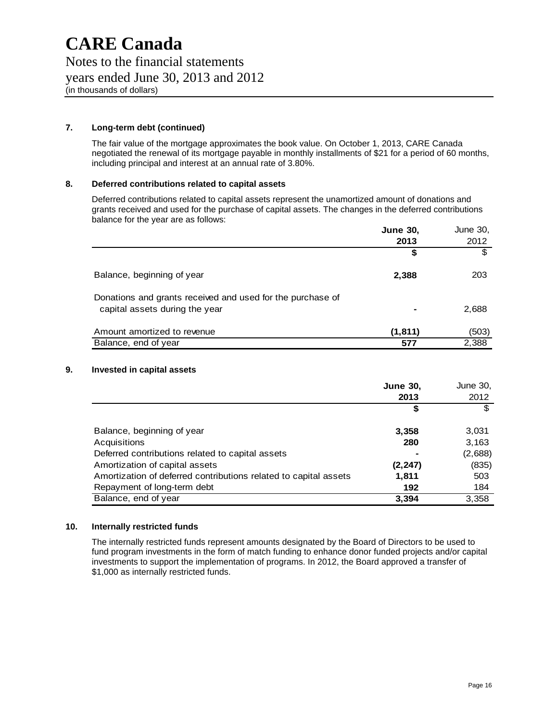#### **7. Long-term debt (continued)**

The fair value of the mortgage approximates the book value. On October 1, 2013, CARE Canada negotiated the renewal of its mortgage payable in monthly installments of \$21 for a period of 60 months, including principal and interest at an annual rate of 3.80%.

#### **8. Deferred contributions related to capital assets**

Deferred contributions related to capital assets represent the unamortized amount of donations and grants received and used for the purchase of capital assets. The changes in the deferred contributions balance for the year are as follows:

|                                                                                              | <b>June 30.</b> | June 30, |
|----------------------------------------------------------------------------------------------|-----------------|----------|
|                                                                                              | 2013            | 2012     |
|                                                                                              | \$              | \$       |
| Balance, beginning of year                                                                   | 2,388           | 203      |
| Donations and grants received and used for the purchase of<br>capital assets during the year | ۰               | 2,688    |
| Amount amortized to revenue                                                                  | (1, 811)        | (503)    |
| Balance, end of year                                                                         | 577             | 2,388    |

#### **9. Invested in capital assets**

|                                                                  | <b>June 30.</b> | <b>June 30,</b> |
|------------------------------------------------------------------|-----------------|-----------------|
|                                                                  | 2013            | 2012            |
|                                                                  | \$              | \$.             |
| Balance, beginning of year                                       | 3,358           | 3,031           |
| Acquisitions                                                     | 280             | 3,163           |
| Deferred contributions related to capital assets                 |                 | (2,688)         |
| Amortization of capital assets                                   | (2, 247)        | (835)           |
| Amortization of deferred contributions related to capital assets | 1,811           | 503             |
| Repayment of long-term debt                                      | 192             | 184             |
| Balance, end of year                                             | 3,394           | 3,358           |

#### **10. Internally restricted funds**

The internally restricted funds represent amounts designated by the Board of Directors to be used to fund program investments in the form of match funding to enhance donor funded projects and/or capital investments to support the implementation of programs. In 2012, the Board approved a transfer of \$1,000 as internally restricted funds.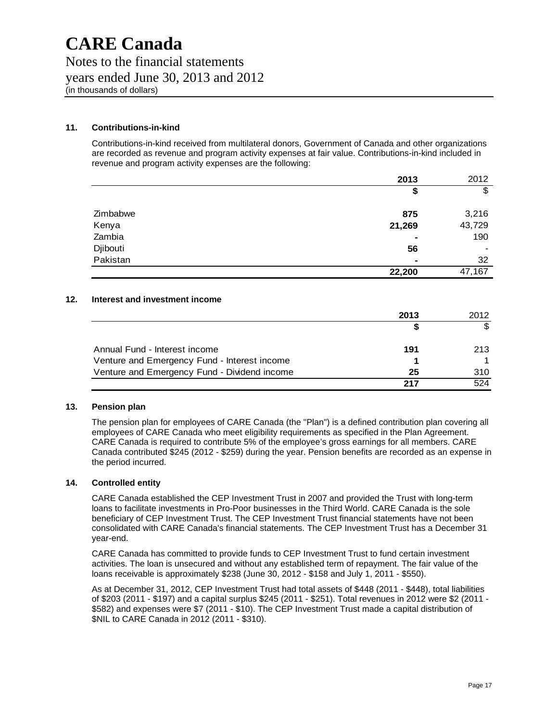#### **11. Contributions-in-kind**

Contributions-in-kind received from multilateral donors, Government of Canada and other organizations are recorded as revenue and program activity expenses at fair value. Contributions-in-kind included in revenue and program activity expenses are the following:

|          | 2013           | 2012   |
|----------|----------------|--------|
|          | \$             | \$     |
| Zimbabwe | 875            | 3,216  |
| Kenya    | 21,269         | 43,729 |
| Zambia   | $\blacksquare$ | 190    |
| Djibouti | 56             | -      |
| Pakistan | $\blacksquare$ | 32     |
|          | 22,200         | 47,167 |

#### **12. Interest and investment income**

|                                              | 2013 | 2012 |
|----------------------------------------------|------|------|
|                                              |      |      |
| Annual Fund - Interest income                | 191  | 213  |
| Venture and Emergency Fund - Interest income |      |      |
| Venture and Emergency Fund - Dividend income | 25   | 310  |
|                                              | 217  | 524  |

#### **13. Pension plan**

The pension plan for employees of CARE Canada (the "Plan") is a defined contribution plan covering all employees of CARE Canada who meet eligibility requirements as specified in the Plan Agreement. CARE Canada is required to contribute 5% of the employee's gross earnings for all members. CARE Canada contributed \$245 (2012 - \$259) during the year. Pension benefits are recorded as an expense in the period incurred.

#### **14. Controlled entity**

CARE Canada established the CEP Investment Trust in 2007 and provided the Trust with long-term loans to facilitate investments in Pro-Poor businesses in the Third World. CARE Canada is the sole beneficiary of CEP Investment Trust. The CEP Investment Trust financial statements have not been consolidated with CARE Canada's financial statements. The CEP Investment Trust has a December 31 year-end.

CARE Canada has committed to provide funds to CEP Investment Trust to fund certain investment activities. The loan is unsecured and without any established term of repayment. The fair value of the loans receivable is approximately \$238 (June 30, 2012 - \$158 and July 1, 2011 - \$550).

As at December 31, 2012, CEP Investment Trust had total assets of \$448 (2011 - \$448), total liabilities of \$203 (2011 - \$197) and a capital surplus \$245 (2011 - \$251). Total revenues in 2012 were \$2 (2011 - \$582) and expenses were \$7 (2011 - \$10). The CEP Investment Trust made a capital distribution of \$NIL to CARE Canada in 2012 (2011 - \$310).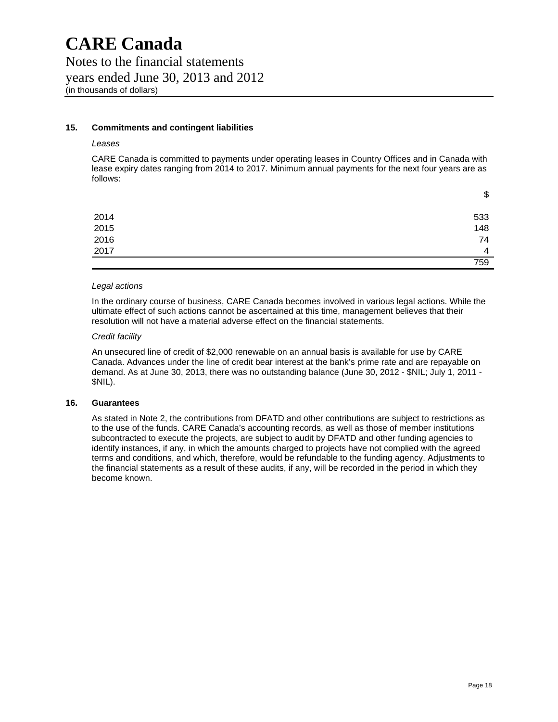#### **15. Commitments and contingent liabilities**

#### *Leases*

CARE Canada is committed to payments under operating leases in Country Offices and in Canada with lease expiry dates ranging from 2014 to 2017. Minimum annual payments for the next four years are as follows:

|      | \$             |
|------|----------------|
| 2014 | 533            |
| 2015 | 148            |
| 2016 | 74             |
| 2017 | $\overline{4}$ |
|      | 759            |

#### *Legal actions*

In the ordinary course of business, CARE Canada becomes involved in various legal actions. While the ultimate effect of such actions cannot be ascertained at this time, management believes that their resolution will not have a material adverse effect on the financial statements.

#### *Credit facility*

An unsecured line of credit of \$2,000 renewable on an annual basis is available for use by CARE Canada. Advances under the line of credit bear interest at the bank's prime rate and are repayable on demand. As at June 30, 2013, there was no outstanding balance (June 30, 2012 - \$NIL; July 1, 2011 - \$NIL).

#### **16. Guarantees**

As stated in Note 2, the contributions from DFATD and other contributions are subject to restrictions as to the use of the funds. CARE Canada's accounting records, as well as those of member institutions subcontracted to execute the projects, are subject to audit by DFATD and other funding agencies to identify instances, if any, in which the amounts charged to projects have not complied with the agreed terms and conditions, and which, therefore, would be refundable to the funding agency. Adjustments to the financial statements as a result of these audits, if any, will be recorded in the period in which they become known.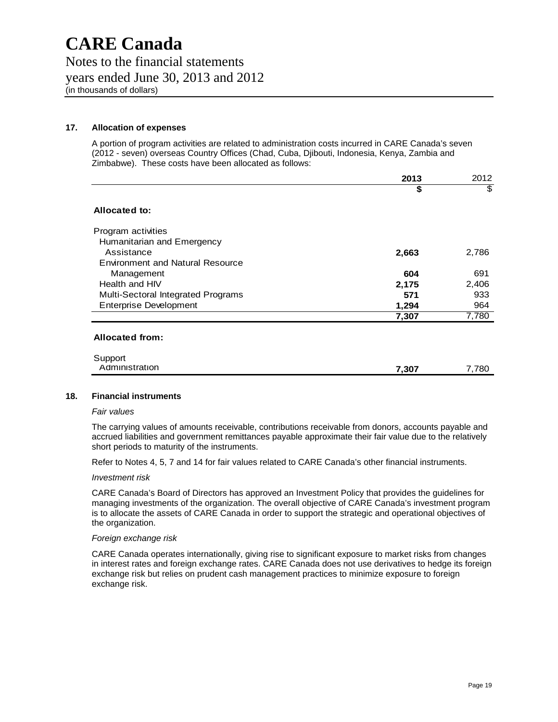#### **17. Allocation of expenses**

A portion of program activities are related to administration costs incurred in CARE Canada's seven (2012 - seven) overseas Country Offices (Chad, Cuba, Djibouti, Indonesia, Kenya, Zambia and Zimbabwe). These costs have been allocated as follows:

|                                         | 2013  | 2012  |
|-----------------------------------------|-------|-------|
|                                         | \$    | \$    |
| Allocated to:                           |       |       |
| Program activities                      |       |       |
| Humanitarian and Emergency              |       |       |
| Assistance                              | 2,663 | 2,786 |
| <b>Environment and Natural Resource</b> |       |       |
| Management                              | 604   | 691   |
| Health and HIV                          | 2,175 | 2,406 |
| Multi-Sectoral Integrated Programs      | 571   | 933   |
| <b>Enterprise Development</b>           | 1,294 | 964   |
|                                         | 7,307 | 7,780 |
|                                         |       |       |
| <b>Allocated from:</b>                  |       |       |
| $C$ unnort                              |       |       |

| oupport        |       |     |
|----------------|-------|-----|
| Administration | 7.307 | 780 |
|                |       |     |

#### **18. Financial instruments**

#### *Fair values*

The carrying values of amounts receivable, contributions receivable from donors, accounts payable and accrued liabilities and government remittances payable approximate their fair value due to the relatively short periods to maturity of the instruments.

Refer to Notes 4, 5, 7 and 14 for fair values related to CARE Canada's other financial instruments.

#### *Investment risk*

CARE Canada's Board of Directors has approved an Investment Policy that provides the guidelines for managing investments of the organization. The overall objective of CARE Canada's investment program is to allocate the assets of CARE Canada in order to support the strategic and operational objectives of the organization.

#### *Foreign exchange risk*

CARE Canada operates internationally, giving rise to significant exposure to market risks from changes in interest rates and foreign exchange rates. CARE Canada does not use derivatives to hedge its foreign exchange risk but relies on prudent cash management practices to minimize exposure to foreign exchange risk.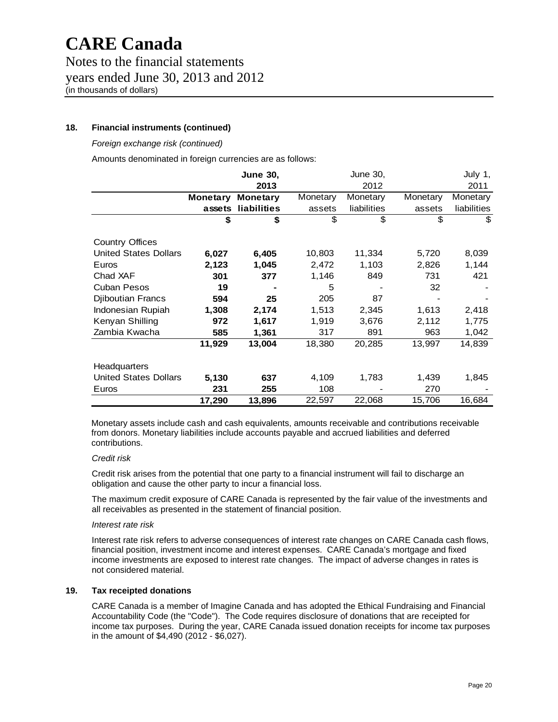#### **18. Financial instruments (continued)**

*Foreign exchange risk (continued)* 

Amounts denominated in foreign currencies are as follows:

|                              |                 | <b>June 30,</b> |          | June 30,    |          | July 1,            |
|------------------------------|-----------------|-----------------|----------|-------------|----------|--------------------|
|                              |                 | 2013            |          | 2012        |          | 2011               |
|                              | <b>Monetary</b> | <b>Monetary</b> | Monetary | Monetary    | Monetary | Monetary           |
|                              | assets          | liabilities     | assets   | liabilities | assets   | <b>liabilities</b> |
|                              | \$              | \$              | \$       | \$          | \$       | \$                 |
|                              |                 |                 |          |             |          |                    |
| Country Offices              |                 |                 |          |             |          |                    |
| <b>United States Dollars</b> | 6,027           | 6,405           | 10,803   | 11,334      | 5,720    | 8,039              |
| Euros                        | 2,123           | 1,045           | 2,472    | 1,103       | 2,826    | 1,144              |
| Chad XAF                     | 301             | 377             | 1,146    | 849         | 731      | 421                |
| Cuban Pesos                  | 19              |                 | 5        |             | 32       |                    |
| Djiboutian Francs            | 594             | 25              | 205      | 87          |          |                    |
| Indonesian Rupiah            | 1,308           | 2,174           | 1,513    | 2,345       | 1,613    | 2,418              |
| Kenyan Shilling              | 972             | 1,617           | 1,919    | 3,676       | 2,112    | 1,775              |
| Zambia Kwacha                | 585             | 1,361           | 317      | 891         | 963      | 1,042              |
|                              | 11,929          | 13,004          | 18,380   | 20,285      | 13,997   | 14,839             |
| Headquarters                 |                 |                 |          |             |          |                    |
| <b>United States Dollars</b> | 5,130           | 637             | 4,109    | 1,783       | 1,439    | 1,845              |
| Euros                        | 231             | 255             | 108      |             | 270      |                    |
|                              | 17,290          | 13,896          | 22,597   | 22,068      | 15,706   | 16,684             |

Monetary assets include cash and cash equivalents, amounts receivable and contributions receivable from donors. Monetary liabilities include accounts payable and accrued liabilities and deferred contributions.

#### *Credit risk*

Credit risk arises from the potential that one party to a financial instrument will fail to discharge an obligation and cause the other party to incur a financial loss.

The maximum credit exposure of CARE Canada is represented by the fair value of the investments and all receivables as presented in the statement of financial position.

#### *Interest rate risk*

Interest rate risk refers to adverse consequences of interest rate changes on CARE Canada cash flows, financial position, investment income and interest expenses. CARE Canada's mortgage and fixed income investments are exposed to interest rate changes. The impact of adverse changes in rates is not considered material.

#### **19. Tax receipted donations**

CARE Canada is a member of Imagine Canada and has adopted the Ethical Fundraising and Financial Accountability Code (the "Code"). The Code requires disclosure of donations that are receipted for income tax purposes. During the year, CARE Canada issued donation receipts for income tax purposes in the amount of \$4,490 (2012 - \$6,027).